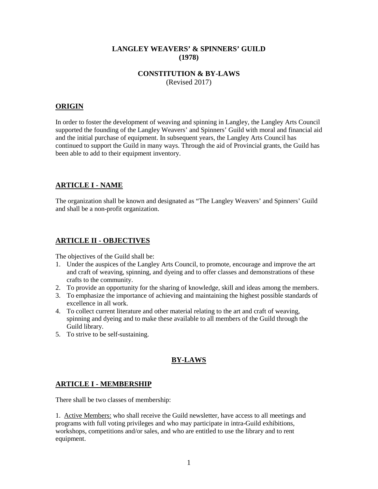### **LANGLEY WEAVERS' & SPINNERS' GUILD (1978)**

### **CONSTITUTION & BY-LAWS** (Revised 2017)

## **ORIGIN**

In order to foster the development of weaving and spinning in Langley, the Langley Arts Council supported the founding of the Langley Weavers' and Spinners' Guild with moral and financial aid and the initial purchase of equipment. In subsequent years, the Langley Arts Council has continued to support the Guild in many ways. Through the aid of Provincial grants, the Guild has been able to add to their equipment inventory.

# **ARTICLE I - NAME**

The organization shall be known and designated as "The Langley Weavers' and Spinners' Guild and shall be a non-profit organization.

## **ARTICLE II - OBJECTIVES**

The objectives of the Guild shall be:

- 1. Under the auspices of the Langley Arts Council, to promote, encourage and improve the art and craft of weaving, spinning, and dyeing and to offer classes and demonstrations of these crafts to the community.
- 2. To provide an opportunity for the sharing of knowledge, skill and ideas among the members.
- 3. To emphasize the importance of achieving and maintaining the highest possible standards of excellence in all work.
- 4. To collect current literature and other material relating to the art and craft of weaving, spinning and dyeing and to make these available to all members of the Guild through the Guild library.
- 5. To strive to be self-sustaining.

# **BY-LAWS**

# **ARTICLE I - MEMBERSHIP**

There shall be two classes of membership:

1. Active Members: who shall receive the Guild newsletter, have access to all meetings and programs with full voting privileges and who may participate in intra-Guild exhibitions, workshops, competitions and/or sales, and who are entitled to use the library and to rent equipment.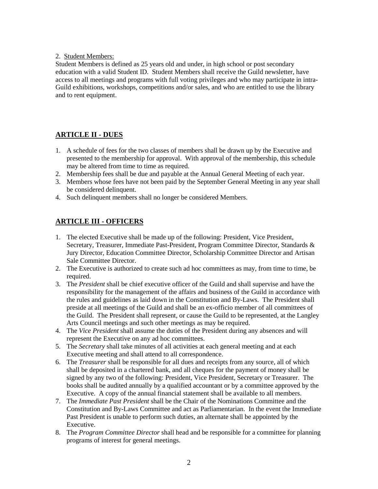#### 2. Student Members:

Student Members is defined as 25 years old and under, in high school or post secondary education with a valid Student ID. Student Members shall receive the Guild newsletter, have access to all meetings and programs with full voting privileges and who may participate in intra-Guild exhibitions, workshops, competitions and/or sales, and who are entitled to use the library and to rent equipment.

# **ARTICLE II - DUES**

- 1. A schedule of fees for the two classes of members shall be drawn up by the Executive and presented to the membership for approval. With approval of the membership, this schedule may be altered from time to time as required.
- 2. Membership fees shall be due and payable at the Annual General Meeting of each year.
- 3. Members whose fees have not been paid by the September General Meeting in any year shall be considered delinquent.
- 4. Such delinquent members shall no longer be considered Members.

# **ARTICLE III - OFFICERS**

- 1. The elected Executive shall be made up of the following: President, Vice President, Secretary, Treasurer, Immediate Past-President, Program Committee Director, Standards & Jury Director, Education Committee Director, Scholarship Committee Director and Artisan Sale Committee Director.
- 2. The Executive is authorized to create such ad hoc committees as may, from time to time, be required.
- 3. The *President* shall be chief executive officer of the Guild and shall supervise and have the responsibility for the management of the affairs and business of the Guild in accordance with the rules and guidelines as laid down in the Constitution and By-Laws. The President shall preside at all meetings of the Guild and shall be an ex-officio member of all committees of the Guild. The President shall represent, or cause the Guild to be represented, at the Langley Arts Council meetings and such other meetings as may be required.
- 4. The *Vice President* shall assume the duties of the President during any absences and will represent the Executive on any ad hoc committees.
- 5. The *Secretary* shall take minutes of all activities at each general meeting and at each Executive meeting and shall attend to all correspondence.
- 6. The *Treasurer* shall be responsible for all dues and receipts from any source, all of which shall be deposited in a chartered bank, and all cheques for the payment of money shall be signed by any two of the following: President, Vice President, Secretary or Treasurer. The books shall be audited annually by a qualified accountant or by a committee approved by the Executive. A copy of the annual financial statement shall be available to all members.
- 7. The *Immediate Past President* shall be the Chair of the Nominations Committee and the Constitution and By-Laws Committee and act as Parliamentarian. In the event the Immediate Past President is unable to perform such duties, an alternate shall be appointed by the Executive.
- 8. The *Program Committee Director* shall head and be responsible for a committee for planning programs of interest for general meetings.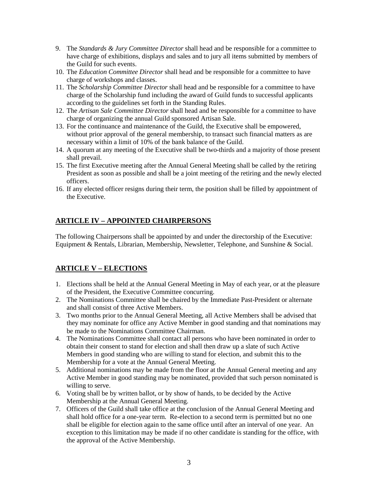- 9. The *Standards & Jury Committee Director* shall head and be responsible for a committee to have charge of exhibitions, displays and sales and to jury all items submitted by members of the Guild for such events.
- 10. The *Education Committee Director* shall head and be responsible for a committee to have charge of workshops and classes.
- 11. The *Scholarship Committee Director* shall head and be responsible for a committee to have charge of the Scholarship fund including the award of Guild funds to successful applicants according to the guidelines set forth in the Standing Rules.
- 12. The *Artisan Sale Committee Director* shall head and be responsible for a committee to have charge of organizing the annual Guild sponsored Artisan Sale.
- 13. For the continuance and maintenance of the Guild, the Executive shall be empowered, without prior approval of the general membership, to transact such financial matters as are necessary within a limit of 10% of the bank balance of the Guild.
- 14. A quorum at any meeting of the Executive shall be two-thirds and a majority of those present shall prevail.
- 15. The first Executive meeting after the Annual General Meeting shall be called by the retiring President as soon as possible and shall be a joint meeting of the retiring and the newly elected officers.
- 16. If any elected officer resigns during their term, the position shall be filled by appointment of the Executive.

# **ARTICLE IV – APPOINTED CHAIRPERSONS**

The following Chairpersons shall be appointed by and under the directorship of the Executive: Equipment & Rentals, Librarian, Membership, Newsletter, Telephone, and Sunshine & Social.

# **ARTICLE V – ELECTIONS**

- 1. Elections shall be held at the Annual General Meeting in May of each year, or at the pleasure of the President, the Executive Committee concurring.
- 2. The Nominations Committee shall be chaired by the Immediate Past-President or alternate and shall consist of three Active Members.
- 3. Two months prior to the Annual General Meeting, all Active Members shall be advised that they may nominate for office any Active Member in good standing and that nominations may be made to the Nominations Committee Chairman.
- 4. The Nominations Committee shall contact all persons who have been nominated in order to obtain their consent to stand for election and shall then draw up a slate of such Active Members in good standing who are willing to stand for election, and submit this to the Membership for a vote at the Annual General Meeting.
- 5. Additional nominations may be made from the floor at the Annual General meeting and any Active Member in good standing may be nominated, provided that such person nominated is willing to serve.
- 6. Voting shall be by written ballot, or by show of hands, to be decided by the Active Membership at the Annual General Meeting.
- 7. Officers of the Guild shall take office at the conclusion of the Annual General Meeting and shall hold office for a one-year term. Re-election to a second term is permitted but no one shall be eligible for election again to the same office until after an interval of one year. An exception to this limitation may be made if no other candidate is standing for the office, with the approval of the Active Membership.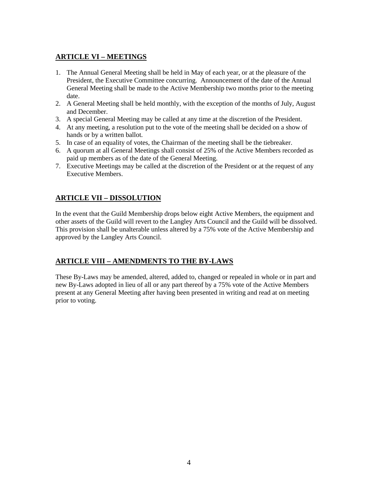# **ARTICLE VI – MEETINGS**

- 1. The Annual General Meeting shall be held in May of each year, or at the pleasure of the President, the Executive Committee concurring. Announcement of the date of the Annual General Meeting shall be made to the Active Membership two months prior to the meeting date.
- 2. A General Meeting shall be held monthly, with the exception of the months of July, August and December.
- 3. A special General Meeting may be called at any time at the discretion of the President.
- 4. At any meeting, a resolution put to the vote of the meeting shall be decided on a show of hands or by a written ballot.
- 5. In case of an equality of votes, the Chairman of the meeting shall be the tiebreaker.
- 6. A quorum at all General Meetings shall consist of 25% of the Active Members recorded as paid up members as of the date of the General Meeting.
- 7. Executive Meetings may be called at the discretion of the President or at the request of any Executive Members.

# **ARTICLE VII – DISSOLUTION**

In the event that the Guild Membership drops below eight Active Members, the equipment and other assets of the Guild will revert to the Langley Arts Council and the Guild will be dissolved. This provision shall be unalterable unless altered by a 75% vote of the Active Membership and approved by the Langley Arts Council.

# **ARTICLE VIII – AMENDMENTS TO THE BY-LAWS**

These By-Laws may be amended, altered, added to, changed or repealed in whole or in part and new By-Laws adopted in lieu of all or any part thereof by a 75% vote of the Active Members present at any General Meeting after having been presented in writing and read at on meeting prior to voting.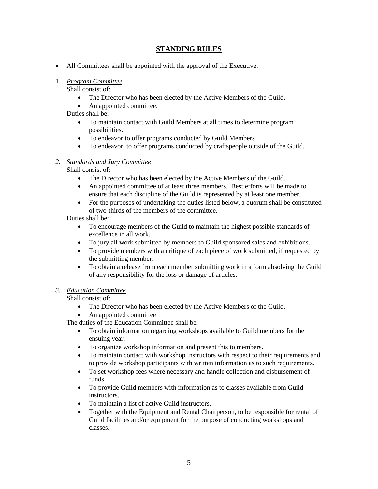# **STANDING RULES**

• All Committees shall be appointed with the approval of the Executive.

# 1. *Program Committee*

Shall consist of:

- The Director who has been elected by the Active Members of the Guild.
- An appointed committee.

Duties shall be:

- To maintain contact with Guild Members at all times to determine program possibilities.
- To endeavor to offer programs conducted by Guild Members
- To endeavor to offer programs conducted by craftspeople outside of the Guild.

### *2. Standards and Jury Committee*

Shall consist of:

- The Director who has been elected by the Active Members of the Guild.
- An appointed committee of at least three members. Best efforts will be made to ensure that each discipline of the Guild is represented by at least one member.
- For the purposes of undertaking the duties listed below, a quorum shall be constituted of two-thirds of the members of the committee.

Duties shall be:

- To encourage members of the Guild to maintain the highest possible standards of excellence in all work.
- To jury all work submitted by members to Guild sponsored sales and exhibitions.
- To provide members with a critique of each piece of work submitted, if requested by the submitting member.
- To obtain a release from each member submitting work in a form absolving the Guild of any responsibility for the loss or damage of articles.

### *3. Education Committee*

Shall consist of:

- The Director who has been elected by the Active Members of the Guild.
- An appointed committee

The duties of the Education Committee shall be:

- To obtain information regarding workshops available to Guild members for the ensuing year.
- To organize workshop information and present this to members.
- To maintain contact with workshop instructors with respect to their requirements and to provide workshop participants with written information as to such requirements.
- To set workshop fees where necessary and handle collection and disbursement of funds.
- To provide Guild members with information as to classes available from Guild instructors.
- To maintain a list of active Guild instructors.
- Together with the Equipment and Rental Chairperson, to be responsible for rental of Guild facilities and/or equipment for the purpose of conducting workshops and classes.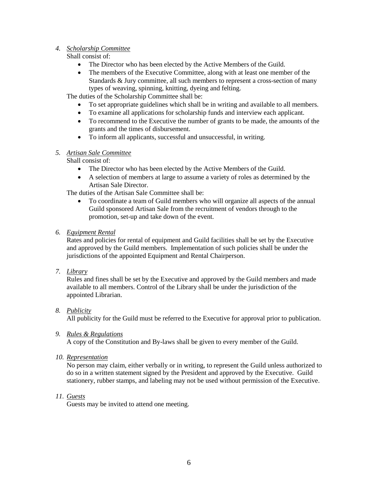#### *4. Scholarship Committee*

Shall consist of:

- The Director who has been elected by the Active Members of the Guild.
- The members of the Executive Committee, along with at least one member of the Standards & Jury committee, all such members to represent a cross-section of many types of weaving, spinning, knitting, dyeing and felting.

The duties of the Scholarship Committee shall be:

- To set appropriate guidelines which shall be in writing and available to all members.
- To examine all applications for scholarship funds and interview each applicant.
- To recommend to the Executive the number of grants to be made, the amounts of the grants and the times of disbursement.
- To inform all applicants, successful and unsuccessful, in writing.

#### *5. Artisan Sale Committee*

Shall consist of:

- The Director who has been elected by the Active Members of the Guild.
- A selection of members at large to assume a variety of roles as determined by the Artisan Sale Director.

The duties of the Artisan Sale Committee shall be:

- To coordinate a team of Guild members who will organize all aspects of the annual Guild sponsored Artisan Sale from the recruitment of vendors through to the promotion, set-up and take down of the event.
- *6. Equipment Rental*

Rates and policies for rental of equipment and Guild facilities shall be set by the Executive and approved by the Guild members. Implementation of such policies shall be under the jurisdictions of the appointed Equipment and Rental Chairperson.

*7. Library*

Rules and fines shall be set by the Executive and approved by the Guild members and made available to all members. Control of the Library shall be under the jurisdiction of the appointed Librarian.

### *8. Publicity*

All publicity for the Guild must be referred to the Executive for approval prior to publication.

#### *9. Rules & Regulations*

A copy of the Constitution and By-laws shall be given to every member of the Guild.

*10. Representation*

No person may claim, either verbally or in writing, to represent the Guild unless authorized to do so in a written statement signed by the President and approved by the Executive. Guild stationery, rubber stamps, and labeling may not be used without permission of the Executive.

#### *11. Guests*

Guests may be invited to attend one meeting.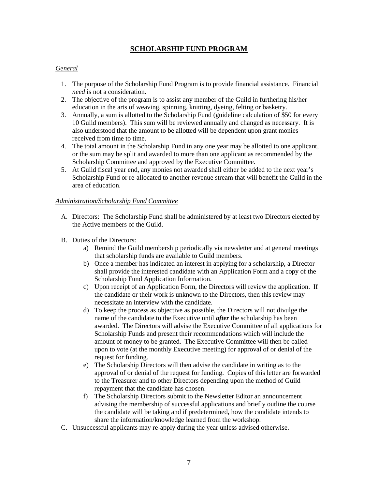## **SCHOLARSHIP FUND PROGRAM**

#### *General*

- 1. The purpose of the Scholarship Fund Program is to provide financial assistance. Financial *need* is not a consideration.
- 2. The objective of the program is to assist any member of the Guild in furthering his/her education in the arts of weaving, spinning, knitting, dyeing, felting or basketry.
- 3. Annually, a sum is allotted to the Scholarship Fund (guideline calculation of \$50 for every 10 Guild members). This sum will be reviewed annually and changed as necessary. It is also understood that the amount to be allotted will be dependent upon grant monies received from time to time.
- 4. The total amount in the Scholarship Fund in any one year may be allotted to one applicant, or the sum may be split and awarded to more than one applicant as recommended by the Scholarship Committee and approved by the Executive Committee.
- 5. At Guild fiscal year end, any monies not awarded shall either be added to the next year's Scholarship Fund or re-allocated to another revenue stream that will benefit the Guild in the area of education.

#### *Administration/Scholarship Fund Committee*

- A. Directors: The Scholarship Fund shall be administered by at least two Directors elected by the Active members of the Guild.
- B. Duties of the Directors:
	- a) Remind the Guild membership periodically via newsletter and at general meetings that scholarship funds are available to Guild members.
	- b) Once a member has indicated an interest in applying for a scholarship, a Director shall provide the interested candidate with an Application Form and a copy of the Scholarship Fund Application Information.
	- c) Upon receipt of an Application Form, the Directors will review the application. If the candidate or their work is unknown to the Directors, then this review may necessitate an interview with the candidate.
	- d) To keep the process as objective as possible, the Directors will not divulge the name of the candidate to the Executive until *after* the scholarship has been awarded. The Directors will advise the Executive Committee of all applications for Scholarship Funds and present their recommendations which will include the amount of money to be granted. The Executive Committee will then be called upon to vote (at the monthly Executive meeting) for approval of or denial of the request for funding.
	- e) The Scholarship Directors will then advise the candidate in writing as to the approval of or denial of the request for funding. Copies of this letter are forwarded to the Treasurer and to other Directors depending upon the method of Guild repayment that the candidate has chosen.
	- f) The Scholarship Directors submit to the Newsletter Editor an announcement advising the membership of successful applications and briefly outline the course the candidate will be taking and if predetermined, how the candidate intends to share the information/knowledge learned from the workshop.
- C. Unsuccessful applicants may re-apply during the year unless advised otherwise.